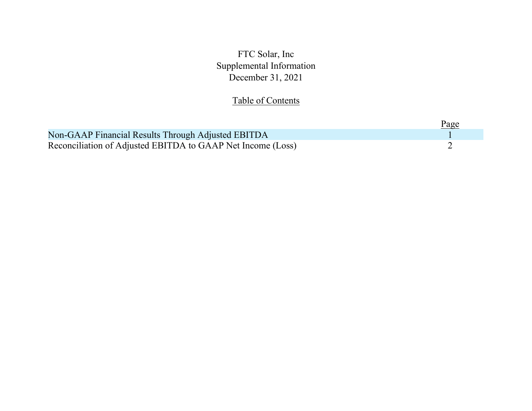FTC Solar, Inc Supplemental Information December 31, 2021

## Table of Contents

|                                                             | <u>Page</u> |  |
|-------------------------------------------------------------|-------------|--|
| Non-GAAP Financial Results Through Adjusted EBITDA          |             |  |
| Reconciliation of Adjusted EBITDA to GAAP Net Income (Loss) |             |  |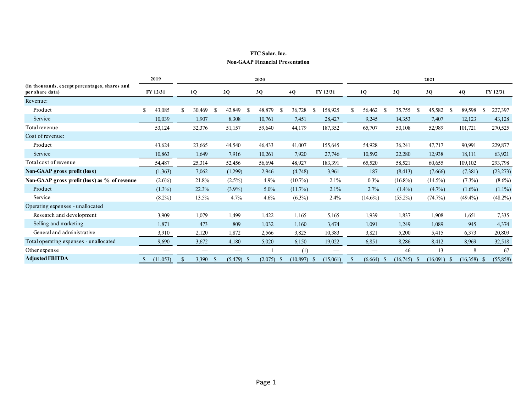## **FTC Solar, Inc. Non-GAAP Financial Presentation**

|                                                                  |          | 2019      |    |        |              |           |     | 2020    |               |            | 2021          |          |    |            |               |            |               |            |     |            |          |            |  |
|------------------------------------------------------------------|----------|-----------|----|--------|--------------|-----------|-----|---------|---------------|------------|---------------|----------|----|------------|---------------|------------|---------------|------------|-----|------------|----------|------------|--|
| (in thousands, except percentages, shares and<br>per share data) | FY 12/31 |           |    | 1Q     |              | 2Q        |     | 3Q      |               | 4Q         |               | FY 12/31 |    | 1Q         |               | 2Q         |               | 3Q         |     | 4Q         | FY 12/31 |            |  |
| Revenue:                                                         |          |           |    |        |              |           |     |         |               |            |               |          |    |            |               |            |               |            |     |            |          |            |  |
| Product                                                          | \$       | 43,085    | S. | 30,469 | -S           | 42,849    | -S  | 48,879  | <sup>\$</sup> | 36,728     | <sup>\$</sup> | 158,925  | S. | 56,462     | <sup>\$</sup> | 35,755     | <sup>\$</sup> | 45,582     | -S  | 89,598     | -S       | 227,397    |  |
| Service                                                          |          | 10,039    |    | 1,907  |              | 8,308     |     | 10,761  |               | 7.451      |               | 28,427   |    | 9,245      |               | 14,353     |               | 7,407      |     | 12,123     |          | 43,128     |  |
| Total revenue                                                    |          | 53,124    |    | 32,376 |              | 51,157    |     | 59,640  |               | 44,179     |               | 187,352  |    | 65,707     |               | 50,108     |               | 52,989     |     | 101,721    |          | 270,525    |  |
| Cost of revenue:                                                 |          |           |    |        |              |           |     |         |               |            |               |          |    |            |               |            |               |            |     |            |          |            |  |
| Product                                                          |          | 43,624    |    | 23,665 |              | 44,540    |     | 46,433  |               | 41,007     |               | 155,645  |    | 54,928     |               | 36,241     |               | 47,717     |     | 90,991     |          | 229,877    |  |
| Service                                                          |          | 10,863    |    | 1,649  |              | 7,916     |     | 10,261  |               | 7,920      |               | 27,746   |    | 10,592     |               | 22,280     |               | 12,938     |     | 18,111     |          | 63,921     |  |
| Total cost of revenue                                            |          | 54,487    |    | 25,314 |              | 52,456    |     | 56,694  |               | 48,927     |               | 183,391  |    | 65,520     |               | 58,521     |               | 60,655     |     | 109,102    |          | 293,798    |  |
| Non-GAAP gross profit (loss)                                     |          | (1,363)   |    | 7,062  |              | (1,299)   |     | 2,946   |               | (4,748)    |               | 3,961    |    | 187        |               | (8, 413)   |               | (7,666)    |     | (7,381)    |          | (23, 273)  |  |
| Non-GAAP gross profit (loss) as % of revenue                     |          | $(2.6\%)$ |    | 21.8%  |              | $(2.5\%)$ |     | 4.9%    |               | $(10.7\%)$ |               | 2.1%     |    | 0.3%       |               | $(16.8\%)$ |               | $(14.5\%)$ |     | $(7.3\%)$  |          | $(8.6\%)$  |  |
| Product                                                          |          | $(1.3\%)$ |    | 22.3%  |              | $(3.9\%)$ |     | $5.0\%$ |               | (11.7%)    |               | 2.1%     |    | 2.7%       |               | $(1.4\%)$  |               | $(4.7\%)$  |     | $(1.6\%)$  |          | $(1.1\%)$  |  |
| Service                                                          |          | $(8.2\%)$ |    | 13.5%  |              | 4.7%      |     | 4.6%    |               | $(6.3\%)$  |               | 2.4%     |    | $(14.6\%)$ |               | $(55.2\%)$ |               | (74.7%)    |     | $(49.4\%)$ |          | $(48.2\%)$ |  |
| Operating expenses - unallocated                                 |          |           |    |        |              |           |     |         |               |            |               |          |    |            |               |            |               |            |     |            |          |            |  |
| Research and development                                         |          | 3,909     |    | 1,079  |              | 1,499     |     | 1,422   |               | 1,165      |               | 5,165    |    | 1,939      |               | 1,837      |               | 1,908      |     | 1,651      |          | 7,335      |  |
| Selling and marketing                                            |          | 1,871     |    | 473    |              | 809       |     | 1,032   |               | 1,160      |               | 3,474    |    | 1,091      |               | 1,249      |               | 1,089      |     | 945        |          | 4,374      |  |
| General and administrative                                       |          | 3,910     |    | 2,120  |              | 1,872     |     | 2,566   |               | 3,825      |               | 10,383   |    | 3,821      |               | 5,200      |               | 5,415      |     | 6,373      |          | 20,809     |  |
| Total operating expenses - unallocated                           |          | 9,690     |    | 3,672  |              | 4,180     |     | 5,020   |               | 6,150      |               | 19,022   |    | 6,851      |               | 8,286      |               | 8,412      |     | 8,969      |          | 32,518     |  |
| Other expense                                                    |          |           |    |        |              |           |     |         |               | (1)        |               |          |    |            |               | 46         |               | 13         |     | 8          |          | 67         |  |
| <b>Adjusted EBITDA</b>                                           |          | (11,053)  |    | 3,390  | <sup>8</sup> | (5, 479)  | - 5 | (2,075) | <sup>2</sup>  | (10, 897)  | - 5           | (15,061) | S  | (6,664)    | - 5           | (16,745)   | - 5           | (16,091)   | - 5 | (16,358)   |          | (55, 858)  |  |